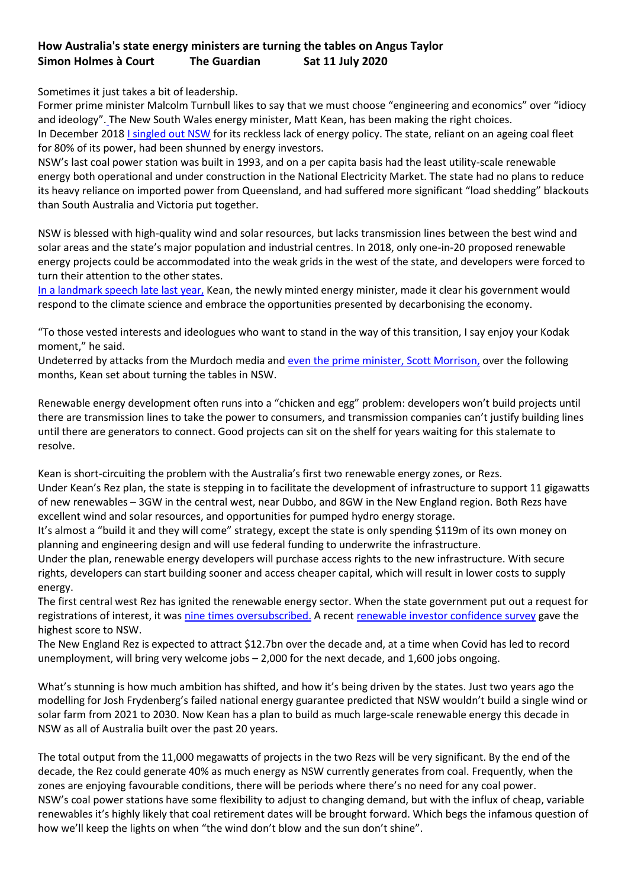## **How Australia's state energy ministers are turning the tables on Angus Taylor Simon Holmes à Court The Guardian Sat 11 July 2020**

Sometimes it just takes a bit of leadership.

Former prime minister Malcolm Turnbull likes to say that we must choose "engineering and economics" over "idiocy and ideology"[.](https://www.theguardian.com/australia-news/2018/aug/13/turnbull-rebukes-abbott-saying-ideology-and-idiocy-cant-determine-energy-policy) The New South Wales energy minister, Matt Kean, has been making the right choices. In December 2018 [I singled out NSW](https://vimeo.com/304496577) for its reckless lack of energy policy. The state, reliant on an ageing coal fleet for 80% of its power, had been shunned by energy investors.

NSW's last coal power station was built in 1993, and on a per capita basis had the least utility-scale renewable energy both operational and under construction in the National Electricity Market. The state had no plans to reduce its heavy reliance on imported power from Queensland, and had suffered more significant "load shedding" blackouts than South Australia and Victoria put together.

NSW is blessed with high-quality wind and solar resources, but lacks transmission lines between the best wind and solar areas and the state's major population and industrial centres. In 2018, only one-in-20 proposed renewable energy projects could be accommodated into the weak grids in the west of the state, and developers were forced to turn their attention to the other states.

[In a landmark speech late last year,](https://www.theguardian.com/australia-news/2019/dec/11/doing-nothing-is-not-a-solution-nsw-environment-minister-blames-climate-crisis-for-bushfires) Kean, the newly minted energy minister, made it clear his government would respond to the climate science and embrace the opportunities presented by decarbonising the economy.

"To those vested interests and ideologues who want to stand in the way of this transition, I say enjoy your Kodak moment," he said.

Undeterred by attacks from the Murdoch media and [even the prime minister, Scott Morrison,](https://www.theguardian.com/australia-news/2020/jan/20/scott-morrison-nsw-minister-matt-kean-federal-climate) over the following months, Kean set about turning the tables in NSW.

Renewable energy development often runs into a "chicken and egg" problem: developers won't build projects until there are transmission lines to take the power to consumers, and transmission companies can't justify building lines until there are generators to connect. Good projects can sit on the shelf for years waiting for this stalemate to resolve.

Kean is short-circuiting the problem with the Australia's first two renewable energy zones, or Rezs. Under Kean's Rez plan, the state is stepping in to facilitate the development of infrastructure to support 11 gigawatts of new renewables – 3GW in the central west, near Dubbo, and 8GW in the New England region. Both Rezs have excellent wind and solar resources, and opportunities for pumped hydro energy storage.

It's almost a "build it and they will come" strategy, except the state is only spending \$119m of its own money on planning and engineering design and will use federal funding to underwrite the infrastructure.

Under the plan, renewable energy developers will purchase access rights to the new infrastructure. With secure rights, developers can start building sooner and access cheaper capital, which will result in lower costs to supply energy.

The first central west Rez has ignited the renewable energy sector. When the state government put out a request for registrations of interest, it was [nine times oversubscribed.](https://www.pv-magazine-australia.com/2020/06/23/nsw-first-renewable-energy-zone-attracts-27-gw-of-solar-wind-and-battery-proposals/) A recent [renewable investor confidence survey](https://assets.cleanenergycouncil.org.au/images/resources/reports/clean-energy-outlook/Clean-Energy-Outlook-confidence-index-July-2020.pdf) gave the highest score to NSW.

The New England Rez is expected to attract \$12.7bn over the decade and, at a time when Covid has led to record unemployment, will bring very welcome jobs – 2,000 for the next decade, and 1,600 jobs ongoing.

What's stunning is how much ambition has shifted, and how it's being driven by the states. Just two years ago the modelling for Josh Frydenberg's failed national energy guarantee predicted that NSW wouldn't build a single wind or solar farm from 2021 to 2030. Now Kean has a plan to build as much large-scale renewable energy this decade in NSW as all of Australia built over the past 20 years.

The total output from the 11,000 megawatts of projects in the two Rezs will be very significant. By the end of the decade, the Rez could generate 40% as much energy as NSW currently generates from coal. Frequently, when the zones are enjoying favourable conditions, there will be periods where there's no need for any coal power. NSW's coal power stations have some flexibility to adjust to changing demand, but with the influx of cheap, variable renewables it's highly likely that coal retirement dates will be brought forward. Which begs the infamous question of how we'll keep the lights on when "the wind don't blow and the sun don't shine".